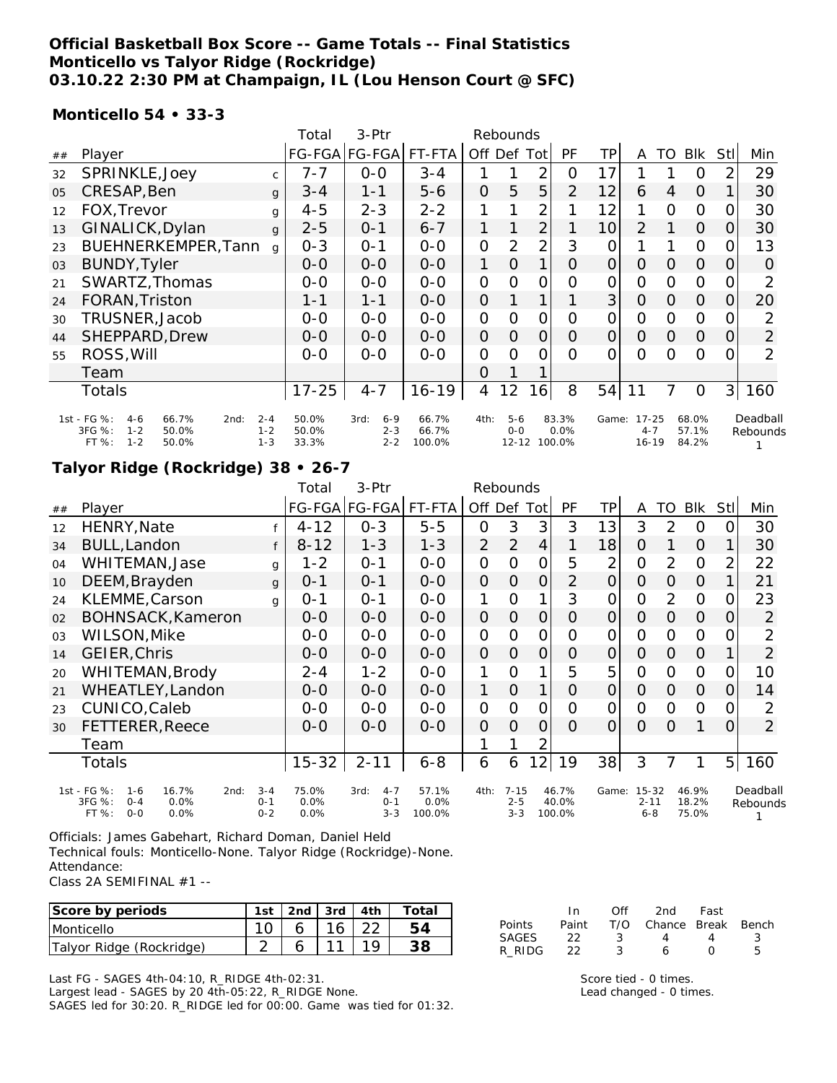### **Official Basketball Box Score -- Game Totals -- Final Statistics Monticello vs Talyor Ridge (Rockridge) 03.10.22 2:30 PM at Champaign, IL (Lou Henson Court @ SFC)**

#### **Monticello 54 • 33-3**

|    |                                                                                                  |                               | Total                   | 3-Ptr                                 | Rebounds                 |                |                |                |                |                |                                   |                |                         |                |                      |
|----|--------------------------------------------------------------------------------------------------|-------------------------------|-------------------------|---------------------------------------|--------------------------|----------------|----------------|----------------|----------------|----------------|-----------------------------------|----------------|-------------------------|----------------|----------------------|
| ## | Player                                                                                           |                               |                         | FG-FGA FG-FGA                         | FT-FTA                   |                |                | Off Def Tot    | <b>PF</b>      | TР             | A                                 | TO             | Blk                     | Stll           | Min                  |
| 32 | SPRINKLE, Joey                                                                                   | $\mathsf{C}$                  | $7 - 7$                 | $0 - 0$                               | $3 - 4$                  |                |                | 2              | 0              | 17             |                                   |                | 0                       | 2              | 29                   |
| 05 | CRESAP, Ben                                                                                      | $\mathbf{q}$                  | $3 - 4$                 | $1 - 1$                               | $5 - 6$                  | $\overline{O}$ | 5              | 5              | $\overline{2}$ | 12             | 6                                 | 4              | $\overline{0}$          |                | 30                   |
| 12 | FOX, Trevor                                                                                      | g                             | $4 - 5$                 | $2 - 3$                               | $2 - 2$                  | 1              |                | $\overline{2}$ |                | 12             | 1                                 | 0              | $\mathbf 0$             | 0              | 30                   |
| 13 | GINALICK, Dylan                                                                                  | g                             | $2 - 5$                 | $O - 1$                               | $6 - 7$                  | 1              | $\mathbf{1}$   | $\overline{2}$ |                | 10             | 2                                 |                | $\Omega$                | 0              | 30                   |
| 23 | BUEHNERKEMPER, Tann                                                                              | $\alpha$                      | $0 - 3$                 | $O - 1$                               | $0-0$                    | $\overline{0}$ | $\overline{2}$ | $\overline{2}$ | 3              | 0              |                                   |                | $\Omega$                | 0              | 13                   |
| 03 | <b>BUNDY, Tyler</b>                                                                              |                               | $0 - 0$                 | $0-0$                                 | $0 - 0$                  | 1              | $\Omega$       | 1 <sub>1</sub> | O              | $\overline{O}$ | O                                 | $\Omega$       | $\overline{O}$          | O              | 0                    |
| 21 | SWARTZ, Thomas                                                                                   |                               | $0-0$                   | $0 - 0$                               | $0 - 0$                  | 0              | 0              | 0              | $\Omega$       | 0              | 0                                 | 0              | $\overline{0}$          |                | 2                    |
| 24 | FORAN, Triston                                                                                   |                               | $1 - 1$                 | $1 - 1$                               | $0 - 0$                  | $\overline{O}$ |                |                |                | 3 <sup>1</sup> | $\overline{0}$                    | $\Omega$       | $\Omega$                | O              | 20                   |
| 30 | TRUSNER, Jacob                                                                                   |                               | $0 - 0$                 | $0 - 0$                               | $0 - 0$                  | $\mathbf 0$    | 0              | 0              | 0              | 0              | 0                                 | $\overline{0}$ | $\mathbf 0$             | O              | 2                    |
| 44 | SHEPPARD, Drew                                                                                   |                               | $0 - 0$                 | $0 - 0$                               | $0 - 0$                  | $\mathbf{O}$   | 0              | 0              | 0              | $\overline{O}$ | $\Omega$                          | $\overline{0}$ | $\overline{O}$          | 0              | 2                    |
| 55 | ROSS, Will                                                                                       |                               | $0-0$                   | $0 - 0$                               | $0 - 0$                  | $\overline{O}$ | 0              | 0              | $\Omega$       | 0              | $\Omega$                          | $\Omega$       | 0                       | O              | 2                    |
|    | Team                                                                                             |                               |                         |                                       |                          | Ω              |                |                |                |                |                                   |                |                         |                |                      |
|    | <b>Totals</b>                                                                                    |                               | $17 - 25$               | $4 - 7$                               | $16 - 19$                | $\overline{4}$ | 12             | 16             | 8              | 54             | 11                                | 7              | $\overline{O}$          | 3 <sup>1</sup> | 160                  |
|    | 1st - FG %:<br>66.7%<br>$4-6$<br>2nd:<br>3FG %:<br>50.0%<br>$1 - 2$<br>FT %:<br>$1 - 2$<br>50.0% | $2 - 4$<br>$1 - 2$<br>$1 - 3$ | 50.0%<br>50.0%<br>33.3% | 3rd:<br>$6 - 9$<br>$2 - 3$<br>$2 - 2$ | 66.7%<br>66.7%<br>100.0% | 4th:           | $5-6$<br>$O-O$ | 12-12 100.0%   | 83.3%<br>0.0%  | Game:          | $17 - 25$<br>$4 - 7$<br>$16 - 19$ |                | 68.0%<br>57.1%<br>84.2% |                | Deadball<br>Rebounds |

### **Talyor Ridge (Rockridge) 38 • 26-7**

|    |                                                                                                |                               | Total                    | 3-Ptr                                 | Rebounds                |                |                                |                |                          |       |                                  |                |                         |                |                      |
|----|------------------------------------------------------------------------------------------------|-------------------------------|--------------------------|---------------------------------------|-------------------------|----------------|--------------------------------|----------------|--------------------------|-------|----------------------------------|----------------|-------------------------|----------------|----------------------|
| ## | Player                                                                                         |                               |                          | FG-FGA FG-FGA                         | FT-FTA                  | Off Def Tot    |                                |                | PF                       | ТP    | A                                | TO             | <b>BIK</b>              | Stll           | Min                  |
| 12 | HENRY, Nate                                                                                    |                               | $4 - 12$                 | $0 - 3$                               | $5 - 5$                 | $\mathbf{O}$   | 3                              | 3              | 3                        | 13    | 3                                | 2              | 0                       | 0              | 30                   |
| 34 | <b>BULL, Landon</b>                                                                            | f                             | $8 - 12$                 | $1 - 3$                               | $1 - 3$                 | $\overline{2}$ | $\overline{2}$                 | $\overline{4}$ |                          | 18    | $\overline{O}$                   | 1              | $\overline{O}$          | 1              | 30                   |
| 04 | WHITEMAN, Jase                                                                                 | g                             | $1 - 2$                  | $0 - 1$                               | $0-0$                   | $\mathbf 0$    | $\Omega$                       | $\mathbf{O}$   | 5                        | 2     | $\overline{O}$                   | $\overline{2}$ | $\overline{0}$          | $\overline{2}$ | 22                   |
| 10 | DEEM, Brayden                                                                                  | $\mathsf{g}$                  | $0 - 1$                  | $0 - 1$                               | $0-0$                   | $\mathbf{O}$   | $\Omega$                       | $\overline{O}$ | $\overline{2}$           | O     | $\Omega$                         | 0              | $\overline{O}$          | 1              | 21                   |
| 24 | KLEMME, Carson                                                                                 | $\mathsf{q}$                  | $0 - 1$                  | $O - 1$                               | $0-0$                   | 1              | $\Omega$                       | 1              | 3                        | 0     | $\overline{O}$                   | 2              | $\mathbf 0$             | 0              | 23                   |
| 02 | BOHNSACK, Kameron                                                                              |                               | $0 - 0$                  | $O-O$                                 | $O-O$                   | $\mathsf{O}$   | $\overline{O}$                 | $\mathbf{O}$   | 0                        | 0     | 0                                | 0              | $\mathbf 0$             | O              | $\overline{2}$       |
| 03 | WILSON, Mike                                                                                   |                               | $0-0$                    | $0-0$                                 | $0-0$                   | $\mathbf 0$    | $\Omega$                       | $\mathbf{O}$   | 0                        | 0     | $\overline{O}$                   | 0              | $\Omega$                | O              | $\overline{2}$       |
| 14 | GEIER, Chris                                                                                   |                               | 0-0                      | $0-0$                                 | $0-0$                   | $\mathbf{O}$   | $\overline{O}$                 | $\overline{O}$ | 0                        | 0     | 0                                | 0              | $\mathbf 0$             | 1              | $\overline{2}$       |
| 20 | WHITEMAN, Brody                                                                                |                               | $2 - 4$                  | $1 - 2$                               | $0-0$                   | 1              | $\Omega$                       | 1              | 5                        | 5     | $\Omega$                         | 0              | $\overline{0}$          | 0              | 10                   |
| 21 | WHEATLEY, Landon                                                                               |                               | $0 - 0$                  | $0-0$                                 | $O-O$                   | 1              | $\overline{O}$                 | $\mathbf{1}$   | 0                        | O     | $\Omega$                         | 0              | $\Omega$                | O              | 14                   |
| 23 | CUNICO, Caleb                                                                                  |                               | 0-0                      | $0 - 0$                               | $0-0$                   | $\mathbf 0$    | $\mathbf{O}$                   | 0              | 0                        | 0     | $\mathbf{O}$                     | 0              | $\Omega$                | O              | $\overline{2}$       |
| 30 | FETTERER, Reece                                                                                |                               | 0-0                      | $0 - 0$                               | $0 - 0$                 | $\mathbf{O}$   | $\overline{O}$                 | $\overline{O}$ | $\Omega$                 | 0     | $\Omega$                         | $\Omega$       | 1                       | 0              | $\overline{2}$       |
|    | Team                                                                                           |                               |                          |                                       |                         | 1              | 1                              | 2              |                          |       |                                  |                |                         |                |                      |
|    | Totals                                                                                         |                               | $15 - 32$                | $2 - 11$                              | $6 - 8$                 | 6              | 6                              | 12             | 19                       | 38    | 3                                | 7              | 1                       | 5 <sup>1</sup> | 160                  |
|    | 1st - FG %:<br>16.7%<br>2nd:<br>$1 - 6$<br>3FG %:<br>0.0%<br>$O - 4$<br>FT%<br>$0 - 0$<br>0.0% | $3 - 4$<br>$0 - 1$<br>$0 - 2$ | 75.0%<br>$0.0\%$<br>0.0% | 3rd:<br>$4 - 7$<br>$0 - 1$<br>$3 - 3$ | 57.1%<br>0.0%<br>100.0% | 4th:           | $7 - 15$<br>$2 - 5$<br>$3 - 3$ |                | 46.7%<br>40.0%<br>100.0% | Game: | $15 - 32$<br>$2 - 11$<br>$6 - 8$ |                | 46.9%<br>18.2%<br>75.0% |                | Deadball<br>Rebounds |

Officials: James Gabehart, Richard Doman, Daniel Held Technical fouls: Monticello-None. Talyor Ridge (Rockridge)-None. Attendance:

Class 2A SEMIFINAL #1 --

| Score by periods         | 1st   2nd   3rd   4th |              | Total |
|--------------------------|-----------------------|--------------|-------|
| <b>Monticello</b>        |                       | $16 \mid 22$ | 54    |
| Talyor Ridge (Rockridge) |                       |              | 38    |

Last FG - SAGES 4th-04:10, R\_RIDGE 4th-02:31.

Largest lead - SAGES by 20 4th-05:22, R\_RIDGE None. SAGES led for 30:20. R\_RIDGE led for 00:00. Game was tied for 01:32.

|               | In.   | ∩ff  | 2nd -                  | Fast         |    |
|---------------|-------|------|------------------------|--------------|----|
| <b>Points</b> | Paint |      | T/O Chance Break Bench |              |    |
| SAGES         | - 22  | - 3- | 4                      | 4            | ્ર |
| R RIDG        | - 22  | - ર  | А                      | $\mathbf{I}$ | Б. |

Score tied - 0 times. Lead changed - 0 times.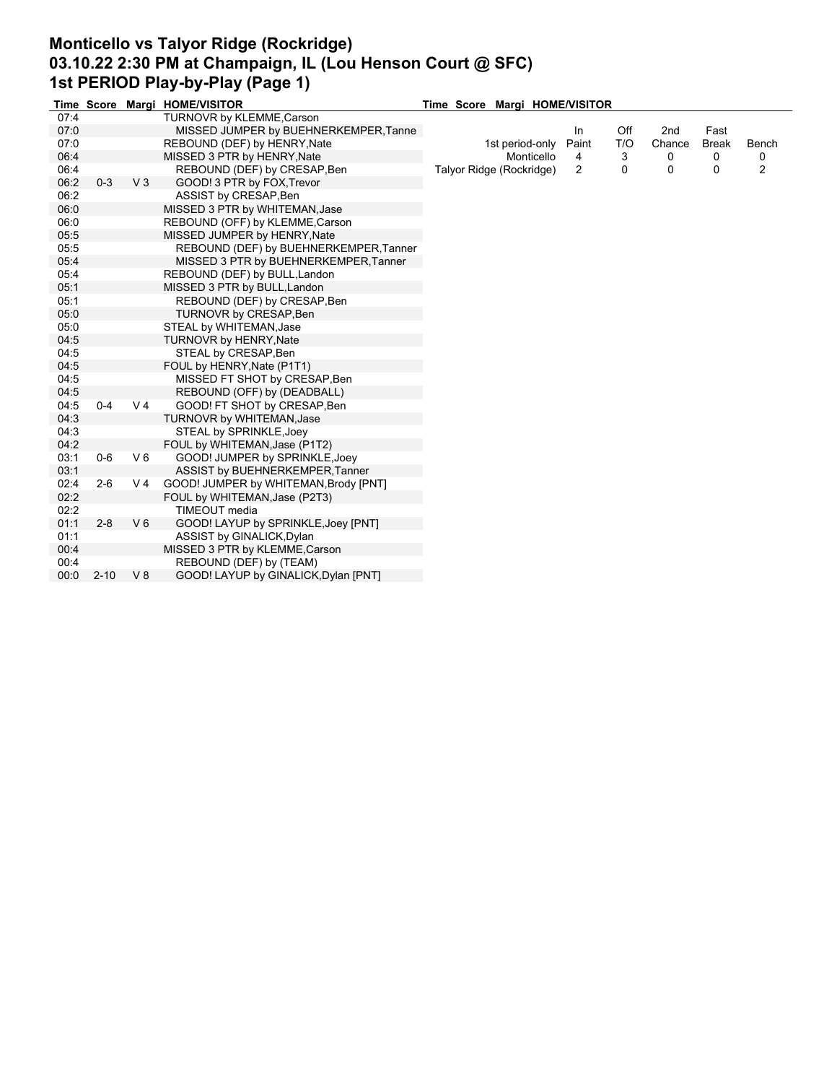## **Monticello vs Talyor Ridge (Rockridge) 03.10.22 2:30 PM at Champaign, IL (Lou Henson Court @ SFC) 1st PERIOD Play-by-Play (Page 1)**

|      |          |                | Time Score Margi HOME/VISITOR          | Time Score Margi HOME/VISITOR |       |     |        |              |       |
|------|----------|----------------|----------------------------------------|-------------------------------|-------|-----|--------|--------------|-------|
| 07:4 |          |                | TURNOVR by KLEMME, Carson              |                               |       |     |        |              |       |
| 07:0 |          |                | MISSED JUMPER by BUEHNERKEMPER, Tanne  |                               | In    | Off | 2nd    | Fast         |       |
| 07:0 |          |                | REBOUND (DEF) by HENRY, Nate           | 1st period-only               | Paint | T/O | Chance | <b>Break</b> | Bench |
| 06:4 |          |                | MISSED 3 PTR by HENRY, Nate            | Monticello                    | 4     | 3   | 0      | 0            | 0     |
| 06:4 |          |                | REBOUND (DEF) by CRESAP, Ben           | Talyor Ridge (Rockridge)      | 2     | 0   | 0      | 0            | 2     |
| 06:2 | $0 - 3$  | V <sub>3</sub> | GOOD! 3 PTR by FOX, Trevor             |                               |       |     |        |              |       |
| 06:2 |          |                | ASSIST by CRESAP, Ben                  |                               |       |     |        |              |       |
| 06:0 |          |                | MISSED 3 PTR by WHITEMAN, Jase         |                               |       |     |        |              |       |
| 06:0 |          |                | REBOUND (OFF) by KLEMME, Carson        |                               |       |     |        |              |       |
| 05:5 |          |                | MISSED JUMPER by HENRY, Nate           |                               |       |     |        |              |       |
| 05:5 |          |                | REBOUND (DEF) by BUEHNERKEMPER, Tanner |                               |       |     |        |              |       |
| 05:4 |          |                | MISSED 3 PTR by BUEHNERKEMPER, Tanner  |                               |       |     |        |              |       |
| 05:4 |          |                | REBOUND (DEF) by BULL, Landon          |                               |       |     |        |              |       |
| 05:1 |          |                | MISSED 3 PTR by BULL, Landon           |                               |       |     |        |              |       |
| 05:1 |          |                | REBOUND (DEF) by CRESAP, Ben           |                               |       |     |        |              |       |
| 05:0 |          |                | TURNOVR by CRESAP, Ben                 |                               |       |     |        |              |       |
| 05:0 |          |                | STEAL by WHITEMAN, Jase                |                               |       |     |        |              |       |
| 04:5 |          |                | <b>TURNOVR by HENRY, Nate</b>          |                               |       |     |        |              |       |
| 04:5 |          |                | STEAL by CRESAP, Ben                   |                               |       |     |        |              |       |
| 04:5 |          |                | FOUL by HENRY, Nate (P1T1)             |                               |       |     |        |              |       |
| 04:5 |          |                | MISSED FT SHOT by CRESAP, Ben          |                               |       |     |        |              |       |
| 04:5 |          |                | REBOUND (OFF) by (DEADBALL)            |                               |       |     |        |              |       |
| 04:5 | $0 - 4$  | V <sub>4</sub> | GOOD! FT SHOT by CRESAP, Ben           |                               |       |     |        |              |       |
| 04:3 |          |                | TURNOVR by WHITEMAN, Jase              |                               |       |     |        |              |       |
| 04:3 |          |                | STEAL by SPRINKLE, Joey                |                               |       |     |        |              |       |
| 04:2 |          |                | FOUL by WHITEMAN, Jase (P1T2)          |                               |       |     |        |              |       |
| 03:1 | $0-6$    | $V_6$          | GOOD! JUMPER by SPRINKLE, Joey         |                               |       |     |        |              |       |
| 03:1 |          |                | ASSIST by BUEHNERKEMPER, Tanner        |                               |       |     |        |              |       |
| 02:4 | $2-6$    | V <sub>4</sub> | GOOD! JUMPER by WHITEMAN, Brody [PNT]  |                               |       |     |        |              |       |
| 02:2 |          |                | FOUL by WHITEMAN, Jase (P2T3)          |                               |       |     |        |              |       |
| 02:2 |          |                | TIMEOUT media                          |                               |       |     |        |              |       |
| 01:1 | $2 - 8$  | $V_6$          | GOOD! LAYUP by SPRINKLE, Joey [PNT]    |                               |       |     |        |              |       |
| 01:1 |          |                | ASSIST by GINALICK, Dylan              |                               |       |     |        |              |       |
| 00:4 |          |                | MISSED 3 PTR by KLEMME, Carson         |                               |       |     |        |              |       |
| 00:4 |          |                | REBOUND (DEF) by (TEAM)                |                               |       |     |        |              |       |
| 00:0 | $2 - 10$ | $V_8$          | GOOD! LAYUP by GINALICK, Dylan [PNT]   |                               |       |     |        |              |       |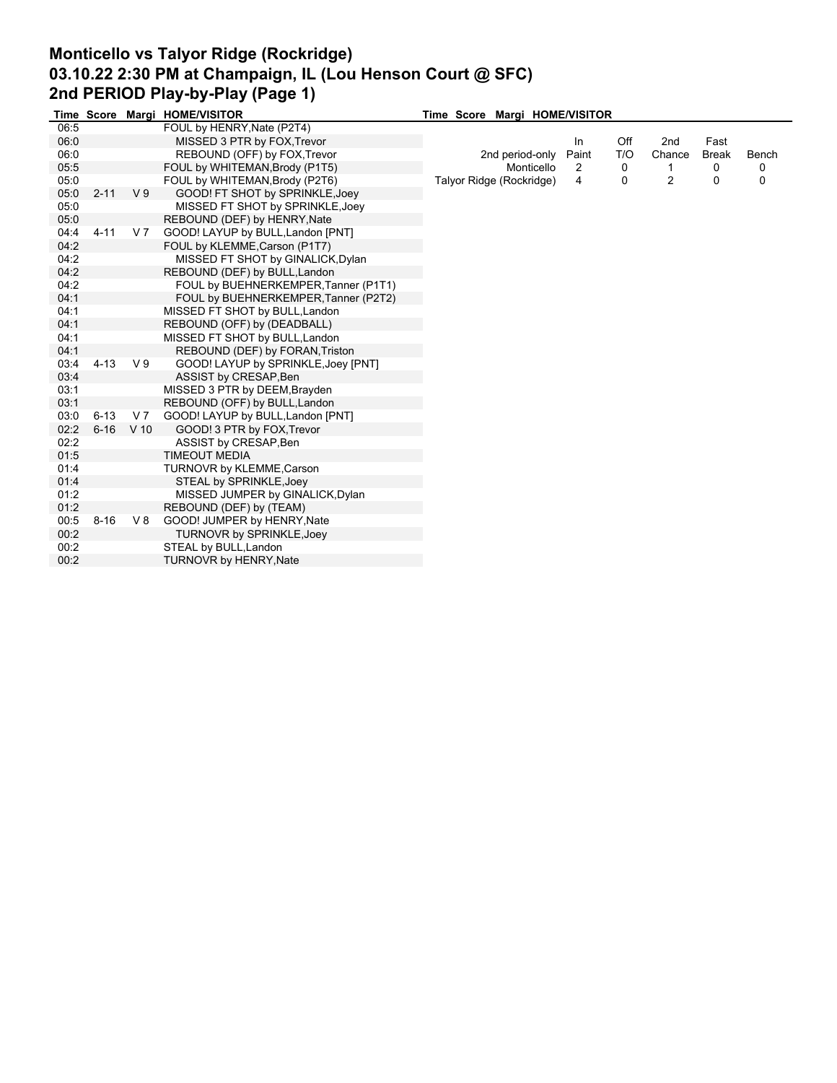# **Monticello vs Talyor Ridge (Rockridge) 03.10.22 2:30 PM at Champaign, IL (Lou Henson Court @ SFC) 2nd PERIOD Play-by-Play (Page 1)**

|      |          |                | Time Score Margi HOME/VISITOR        | Time Score Margi HOME/VISITOR |       |     |        |              |          |
|------|----------|----------------|--------------------------------------|-------------------------------|-------|-----|--------|--------------|----------|
| 06:5 |          |                | FOUL by HENRY, Nate (P2T4)           |                               |       |     |        |              |          |
| 06:0 |          |                | MISSED 3 PTR by FOX, Trevor          |                               | In    | Off | 2nd    | Fast         |          |
| 06:0 |          |                | REBOUND (OFF) by FOX, Trevor         | 2nd period-only               | Paint | T/O | Chance | <b>Break</b> | Bench    |
| 05:5 |          |                | FOUL by WHITEMAN, Brody (P1T5)       | Monticello                    | 2     | 0   |        | 0            | 0        |
| 05:0 |          |                | FOUL by WHITEMAN, Brody (P2T6)       | Talyor Ridge (Rockridge)      | 4     | 0   | 2      | 0            | $\Omega$ |
| 05:0 | $2 - 11$ | V <sub>9</sub> | GOOD! FT SHOT by SPRINKLE, Joey      |                               |       |     |        |              |          |
| 05:0 |          |                | MISSED FT SHOT by SPRINKLE, Joey     |                               |       |     |        |              |          |
| 05:0 |          |                | REBOUND (DEF) by HENRY, Nate         |                               |       |     |        |              |          |
| 04:4 | $4 - 11$ | V <sub>7</sub> | GOOD! LAYUP by BULL, Landon [PNT]    |                               |       |     |        |              |          |
| 04:2 |          |                | FOUL by KLEMME, Carson (P1T7)        |                               |       |     |        |              |          |
| 04:2 |          |                | MISSED FT SHOT by GINALICK, Dylan    |                               |       |     |        |              |          |
| 04:2 |          |                | REBOUND (DEF) by BULL, Landon        |                               |       |     |        |              |          |
| 04:2 |          |                | FOUL by BUEHNERKEMPER, Tanner (P1T1) |                               |       |     |        |              |          |
| 04:1 |          |                | FOUL by BUEHNERKEMPER, Tanner (P2T2) |                               |       |     |        |              |          |
| 04:1 |          |                | MISSED FT SHOT by BULL, Landon       |                               |       |     |        |              |          |
| 04:1 |          |                | REBOUND (OFF) by (DEADBALL)          |                               |       |     |        |              |          |
| 04:1 |          |                | MISSED FT SHOT by BULL, Landon       |                               |       |     |        |              |          |
| 04:1 |          |                | REBOUND (DEF) by FORAN, Triston      |                               |       |     |        |              |          |
| 03:4 | $4 - 13$ | V <sub>9</sub> | GOOD! LAYUP by SPRINKLE, Joey [PNT]  |                               |       |     |        |              |          |
| 03:4 |          |                | ASSIST by CRESAP, Ben                |                               |       |     |        |              |          |
| 03:1 |          |                | MISSED 3 PTR by DEEM, Brayden        |                               |       |     |        |              |          |
| 03:1 |          |                | REBOUND (OFF) by BULL, Landon        |                               |       |     |        |              |          |
| 03:0 | $6 - 13$ | V 7            | GOOD! LAYUP by BULL, Landon [PNT]    |                               |       |     |        |              |          |
| 02:2 | $6 - 16$ | $V$ 10         | GOOD! 3 PTR by FOX, Trevor           |                               |       |     |        |              |          |
| 02:2 |          |                | ASSIST by CRESAP, Ben                |                               |       |     |        |              |          |
| 01:5 |          |                | <b>TIMEOUT MEDIA</b>                 |                               |       |     |        |              |          |
| 01:4 |          |                | TURNOVR by KLEMME, Carson            |                               |       |     |        |              |          |
| 01:4 |          |                | STEAL by SPRINKLE, Joey              |                               |       |     |        |              |          |
| 01:2 |          |                | MISSED JUMPER by GINALICK, Dylan     |                               |       |     |        |              |          |
| 01:2 |          |                | REBOUND (DEF) by (TEAM)              |                               |       |     |        |              |          |
| 00:5 | $8 - 16$ | V8             | GOOD! JUMPER by HENRY, Nate          |                               |       |     |        |              |          |
| 00:2 |          |                | TURNOVR by SPRINKLE, Joey            |                               |       |     |        |              |          |
| 00:2 |          |                | STEAL by BULL, Landon                |                               |       |     |        |              |          |
| 00:2 |          |                | <b>TURNOVR by HENRY, Nate</b>        |                               |       |     |        |              |          |
|      |          |                |                                      |                               |       |     |        |              |          |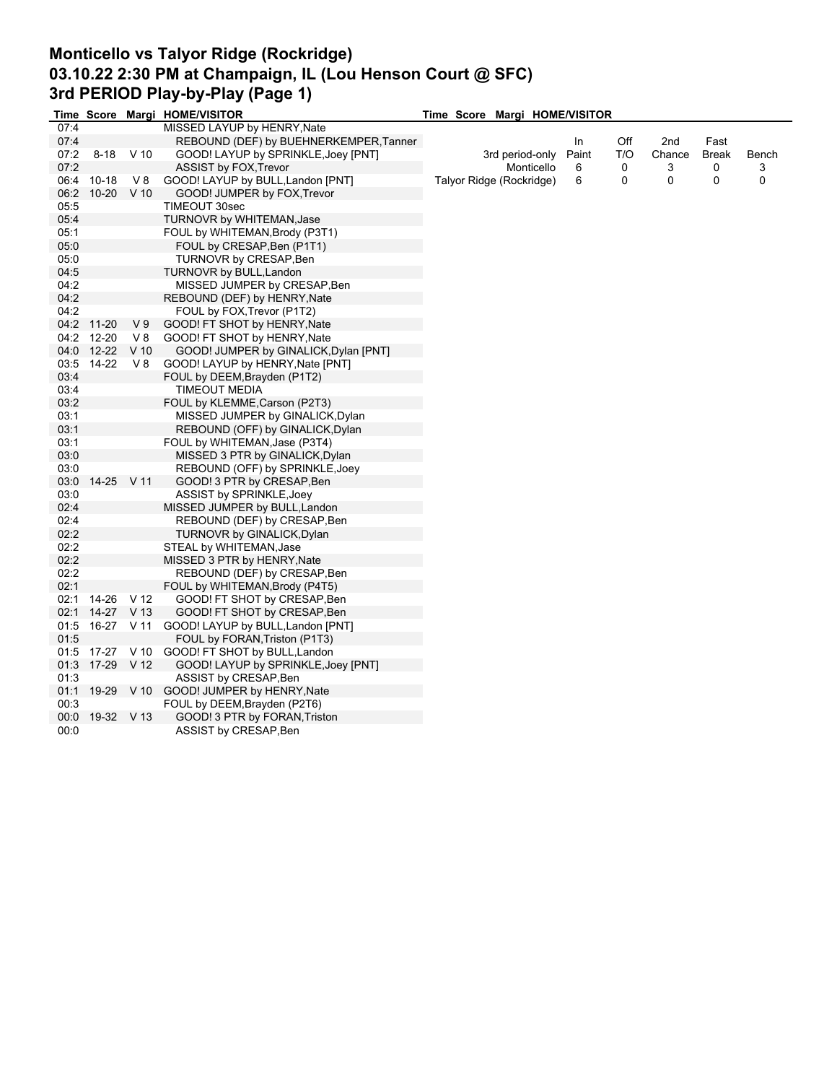## **Monticello vs Talyor Ridge (Rockridge) 03.10.22 2:30 PM at Champaign, IL (Lou Henson Court @ SFC) 3rd PERIOD Play-by-Play (Page 1)**

|       |                 |                 | Time Score Margi HOME/VISITOR            | Time Score Margi HOME/VISITOR |       |     |        |       |       |
|-------|-----------------|-----------------|------------------------------------------|-------------------------------|-------|-----|--------|-------|-------|
| 07:4  |                 |                 | MISSED LAYUP by HENRY, Nate              |                               |       |     |        |       |       |
| 07:4  |                 |                 | REBOUND (DEF) by BUEHNERKEMPER, Tanner   |                               | In    | Off | 2nd    | Fast  |       |
| 07:2  | $8 - 18$        | $V$ 10          | GOOD! LAYUP by SPRINKLE, Joey [PNT]      | 3rd period-only               | Paint | T/O | Chance | Break | Bench |
| 07:2  |                 |                 | <b>ASSIST by FOX, Trevor</b>             | Monticello                    | 6     | 0   | 3      | 0     | 3     |
| 06:4  | $10 - 18$       | V8              | GOOD! LAYUP by BULL, Landon [PNT]        | Talyor Ridge (Rockridge)      | 6     | 0   | 0      | 0     | 0     |
| 06:2  | 10-20           | $V$ 10          | GOOD! JUMPER by FOX, Trevor              |                               |       |     |        |       |       |
| 05:5  |                 |                 | TIMEOUT 30sec                            |                               |       |     |        |       |       |
| 05:4  |                 |                 | TURNOVR by WHITEMAN, Jase                |                               |       |     |        |       |       |
| 05:1  |                 |                 | FOUL by WHITEMAN, Brody (P3T1)           |                               |       |     |        |       |       |
| 05:0  |                 |                 | FOUL by CRESAP, Ben (P1T1)               |                               |       |     |        |       |       |
| 05:0  |                 |                 | TURNOVR by CRESAP, Ben                   |                               |       |     |        |       |       |
| 04:5  |                 |                 | <b>TURNOVR by BULL, Landon</b>           |                               |       |     |        |       |       |
| 04:2  |                 |                 | MISSED JUMPER by CRESAP, Ben             |                               |       |     |        |       |       |
| 04:2  |                 |                 | REBOUND (DEF) by HENRY, Nate             |                               |       |     |        |       |       |
| 04:2  |                 |                 | FOUL by FOX, Trevor (P1T2)               |                               |       |     |        |       |       |
|       | 04:2 11-20      | V <sub>9</sub>  | GOOD! FT SHOT by HENRY, Nate             |                               |       |     |        |       |       |
|       | 04:2 12-20      | V8              |                                          |                               |       |     |        |       |       |
|       |                 |                 | GOOD! FT SHOT by HENRY, Nate             |                               |       |     |        |       |       |
|       | 04:0 12-22      | V <sub>10</sub> | GOOD! JUMPER by GINALICK, Dylan [PNT]    |                               |       |     |        |       |       |
|       | 03:5 14-22      | V8              | GOOD! LAYUP by HENRY, Nate [PNT]         |                               |       |     |        |       |       |
| 03:4  |                 |                 | FOUL by DEEM, Brayden (P1T2)             |                               |       |     |        |       |       |
| 03:4  |                 |                 | <b>TIMEOUT MEDIA</b>                     |                               |       |     |        |       |       |
| 03:2  |                 |                 | FOUL by KLEMME, Carson (P2T3)            |                               |       |     |        |       |       |
| 03:1  |                 |                 | MISSED JUMPER by GINALICK, Dylan         |                               |       |     |        |       |       |
| 03:1  |                 |                 | REBOUND (OFF) by GINALICK, Dylan         |                               |       |     |        |       |       |
| 03:1  |                 |                 | FOUL by WHITEMAN, Jase (P3T4)            |                               |       |     |        |       |       |
| 03:0  |                 |                 | MISSED 3 PTR by GINALICK, Dylan          |                               |       |     |        |       |       |
| 03:0  |                 |                 | REBOUND (OFF) by SPRINKLE, Joey          |                               |       |     |        |       |       |
| 03:0  | 14-25 V 11      |                 | GOOD! 3 PTR by CRESAP, Ben               |                               |       |     |        |       |       |
| 03:0  |                 |                 | ASSIST by SPRINKLE, Joey                 |                               |       |     |        |       |       |
| 02:4  |                 |                 | MISSED JUMPER by BULL, Landon            |                               |       |     |        |       |       |
| 02:4  |                 |                 | REBOUND (DEF) by CRESAP, Ben             |                               |       |     |        |       |       |
| 02:2  |                 |                 | TURNOVR by GINALICK, Dylan               |                               |       |     |        |       |       |
| 02:2  |                 |                 | STEAL by WHITEMAN, Jase                  |                               |       |     |        |       |       |
| 02:2  |                 |                 | MISSED 3 PTR by HENRY, Nate              |                               |       |     |        |       |       |
| 02:2  |                 |                 | REBOUND (DEF) by CRESAP, Ben             |                               |       |     |        |       |       |
| 02:1  |                 |                 | FOUL by WHITEMAN, Brody (P4T5)           |                               |       |     |        |       |       |
| 02:1  | 14-26 V 12      |                 | GOOD! FT SHOT by CRESAP, Ben             |                               |       |     |        |       |       |
| 02:1  | 14-27 V 13      |                 | GOOD! FT SHOT by CRESAP, Ben             |                               |       |     |        |       |       |
|       | 01:5 16-27 V 11 |                 | GOOD! LAYUP by BULL, Landon [PNT]        |                               |       |     |        |       |       |
| 01:5  |                 |                 | FOUL by FORAN, Triston (P1T3)            |                               |       |     |        |       |       |
| 01:5  |                 |                 | 17-27 V 10 GOOD! FT SHOT by BULL, Landon |                               |       |     |        |       |       |
| 01:3  | 17-29 V 12      |                 | GOOD! LAYUP by SPRINKLE, Joey [PNT]      |                               |       |     |        |       |       |
| 01:3  |                 |                 | ASSIST by CRESAP, Ben                    |                               |       |     |        |       |       |
| 01:1  | 19-29           | $V$ 10          | GOOD! JUMPER by HENRY, Nate              |                               |       |     |        |       |       |
| 00:3  |                 |                 | FOUL by DEEM, Brayden (P2T6)             |                               |       |     |        |       |       |
| 00:00 | 19-32 V 13      |                 | GOOD! 3 PTR by FORAN, Triston            |                               |       |     |        |       |       |
| 00:0  |                 |                 | ASSIST by CRESAP, Ben                    |                               |       |     |        |       |       |
|       |                 |                 |                                          |                               |       |     |        |       |       |